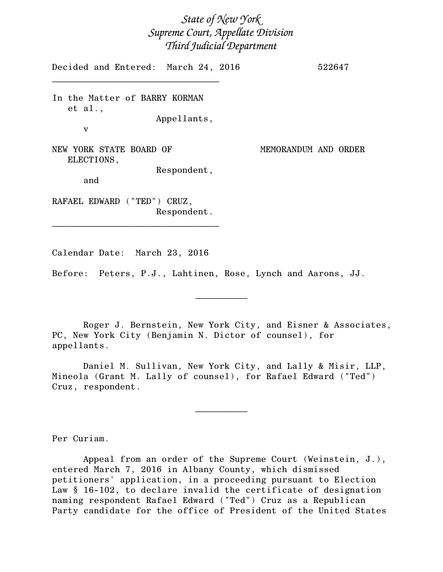## *State of New York Supreme Court, Appellate Division Third Judicial Department*

Decided and Entered: March 24, 2016 522647

In the Matter of BARRY KORMAN et al.,

\_\_\_\_\_\_\_\_\_\_\_\_\_\_\_\_\_\_\_\_\_\_\_\_\_\_\_\_\_\_\_\_

Appellants,

Respondent,

NEW YORK STATE BOARD OF MEMORANDUM AND ORDER ELECTIONS,

and

v

RAFAEL EDWARD ("TED") CRUZ, Respondent.

\_\_\_\_\_\_\_\_\_\_\_\_\_\_\_\_\_\_\_\_\_\_\_\_\_\_\_\_\_\_\_\_

Calendar Date: March 23, 2016

Before: Peters, P.J., Lahtinen, Rose, Lynch and Aarons, JJ.

Roger J. Bernstein, New York City, and Eisner & Associates, PC, New York City (Benjamin N. Dictor of counsel), for appellants.

 $\frac{1}{2}$ 

Daniel M. Sullivan, New York City, and Lally & Misir, LLP, Mineola (Grant M. Lally of counsel), for Rafael Edward ("Ted") Cruz, respondent.

 $\frac{1}{2}$ 

Per Curiam.

Appeal from an order of the Supreme Court (Weinstein, J.), entered March 7, 2016 in Albany County, which dismissed petitioners' application, in a proceeding pursuant to Election Law § 16-102, to declare invalid the certificate of designation naming respondent Rafael Edward ("Ted") Cruz as a Republican Party candidate for the office of President of the United States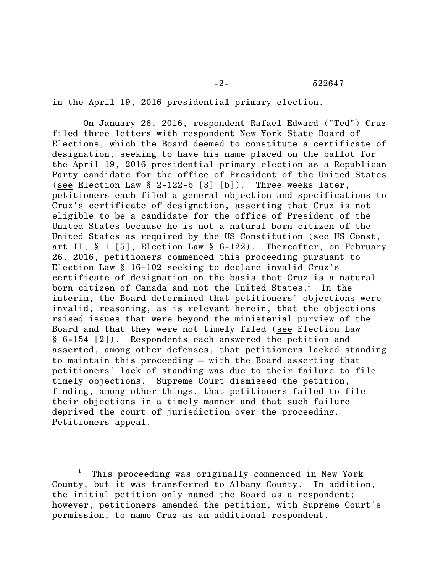in the April 19, 2016 presidential primary election.

On January 26, 2016, respondent Rafael Edward ("Ted") Cruz filed three letters with respondent New York State Board of Elections, which the Board deemed to constitute a certificate of designation, seeking to have his name placed on the ballot for the April 19, 2016 presidential primary election as a Republican Party candidate for the office of President of the United States (see Election Law § 2-122-b [3] [b]). Three weeks later, petitioners each filed a general objection and specifications to Cruz's certificate of designation, asserting that Cruz is not eligible to be a candidate for the office of President of the United States because he is not a natural born citizen of the United States as required by the US Constitution (see US Const, art II,  $\S 1$  [5]; Election Law  $\S 6$ -122). Thereafter, on February 26, 2016, petitioners commenced this proceeding pursuant to Election Law § 16-102 seeking to declare invalid Cruz's certificate of designation on the basis that Cruz is a natural born citizen of Canada and not the United States.<sup>1</sup> In the interim, the Board determined that petitioners' objections were invalid, reasoning, as is relevant herein, that the objections raised issues that were beyond the ministerial purview of the Board and that they were not timely filed (see Election Law § 6-154 [2]). Respondents each answered the petition and asserted, among other defenses, that petitioners lacked standing to maintain this proceeding – with the Board asserting that petitioners' lack of standing was due to their failure to file timely objections. Supreme Court dismissed the petition, finding, among other things, that petitioners failed to file their objections in a timely manner and that such failure deprived the court of jurisdiction over the proceeding. Petitioners appeal.

<sup>&</sup>lt;sup>1</sup> This proceeding was originally commenced in New York County, but it was transferred to Albany County. In addition, the initial petition only named the Board as a respondent; however, petitioners amended the petition, with Supreme Court's permission, to name Cruz as an additional respondent.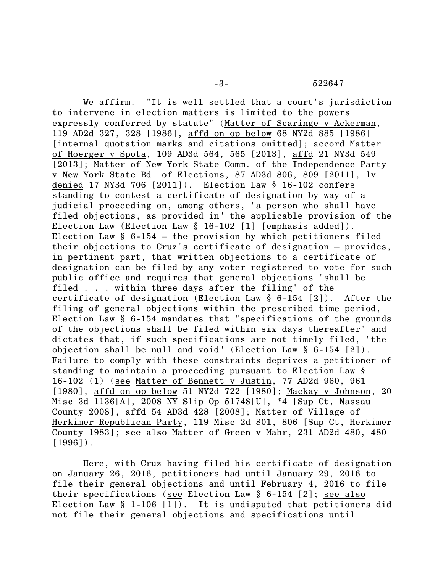We affirm. "It is well settled that a court's jurisdiction to intervene in election matters is limited to the powers expressly conferred by statute" (Matter of Scaringe v Ackerman, 119 AD2d 327, 328 [1986], affd on op below 68 NY2d 885 [1986] [internal quotation marks and citations omitted]; accord Matter of Hoerger v Spota, 109 AD3d 564, 565 [2013], affd 21 NY3d 549 [2013]; Matter of New York State Comm. of the Independence Party v New York State Bd. of Elections, 87 AD3d 806, 809 [2011], lv denied 17 NY3d 706 [2011]). Election Law § 16-102 confers standing to contest a certificate of designation by way of a judicial proceeding on, among others, "a person who shall have filed objections, as provided in" the applicable provision of the Election Law (Election Law § 16-102 [1] [emphasis added]). Election Law  $§$  6-154 – the provision by which petitioners filed their objections to Cruz's certificate of designation – provides, in pertinent part, that written objections to a certificate of designation can be filed by any voter registered to vote for such public office and requires that general objections "shall be filed . . . within three days after the filing" of the certificate of designation (Election Law § 6-154 [2]). After the filing of general objections within the prescribed time period, Election Law § 6-154 mandates that "specifications of the grounds of the objections shall be filed within six days thereafter" and dictates that, if such specifications are not timely filed, "the objection shall be null and void" (Election Law § 6-154 [2]). Failure to comply with these constraints deprives a petitioner of standing to maintain a proceeding pursuant to Election Law § 16-102 (1) (see Matter of Bennett v Justin, 77 AD2d 960, 961 [1980], affd on op below 51 NY2d 722 [1980]; Mackay v Johnson, 20 Misc 3d 1136[A], 2008 NY Slip Op 51748[U], \*4 [Sup Ct, Nassau County 2008], affd 54 AD3d 428 [2008]; Matter of Village of Herkimer Republican Party, 119 Misc 2d 801, 806 [Sup Ct, Herkimer County 1983]; see also Matter of Green v Mahr, 231 AD2d 480, 480  $[1996]$ .

Here, with Cruz having filed his certificate of designation on January 26, 2016, petitioners had until January 29, 2016 to file their general objections and until February 4, 2016 to file their specifications (see Election Law § 6-154 [2]; see also Election Law § 1-106 [1]). It is undisputed that petitioners did not file their general objections and specifications until